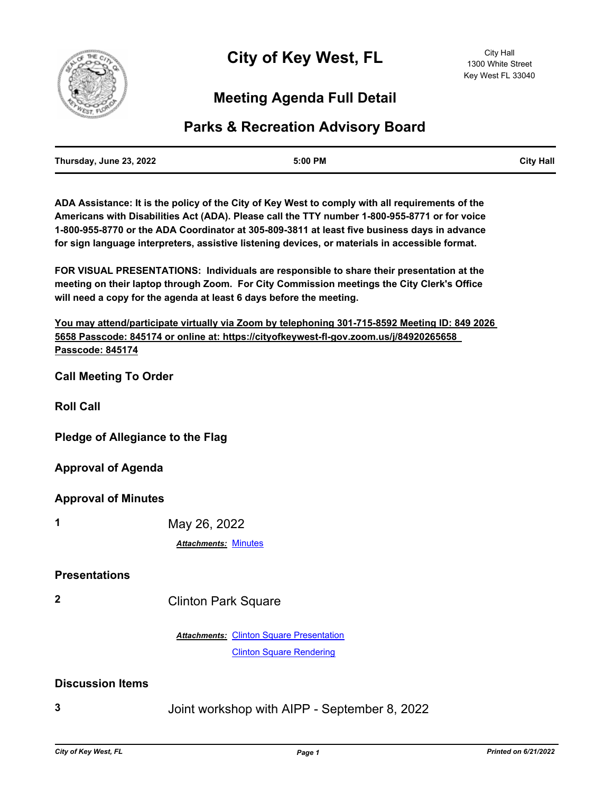

## **Meeting Agenda Full Detail**

## **Parks & Recreation Advisory Board**

| Thursday, June 23, 2022 | 5:00 PM | <b>City Hall</b> |
|-------------------------|---------|------------------|
|                         |         |                  |

**ADA Assistance: It is the policy of the City of Key West to comply with all requirements of the Americans with Disabilities Act (ADA). Please call the TTY number 1-800-955-8771 or for voice 1-800-955-8770 or the ADA Coordinator at 305-809-3811 at least five business days in advance for sign language interpreters, assistive listening devices, or materials in accessible format.**

**FOR VISUAL PRESENTATIONS: Individuals are responsible to share their presentation at the meeting on their laptop through Zoom. For City Commission meetings the City Clerk's Office will need a copy for the agenda at least 6 days before the meeting.**

**You may attend/participate virtually via Zoom by telephoning 301-715-8592 Meeting ID: 849 2026 5658 Passcode: 845174 or online at: https://cityofkeywest-fl-gov.zoom.us/j/84920265658 Passcode: 845174**

**Call Meeting To Order**

**Roll Call**

**Pledge of Allegiance to the Flag**

**Approval of Agenda**

**Approval of Minutes**

**1** May 26, 2022

*Attachments:* [Minutes](http://KeyWest.legistar.com/gateway.aspx?M=F&ID=aa9e9c3f-ebc5-49b3-9f12-bbc1bbc7ca3e.pdf)

## **Presentations**

**2** Clinton Park Square

**Attachments: [Clinton Square Presentation](http://KeyWest.legistar.com/gateway.aspx?M=F&ID=72d80441-06d7-4b77-b484-658cec1e3c09.pptx)** [Clinton Square Rendering](http://KeyWest.legistar.com/gateway.aspx?M=F&ID=4e361696-d639-43ef-8da8-a623f9cbf77a.pdf)

## **Discussion Items**

**3** Joint workshop with AIPP - September 8, 2022